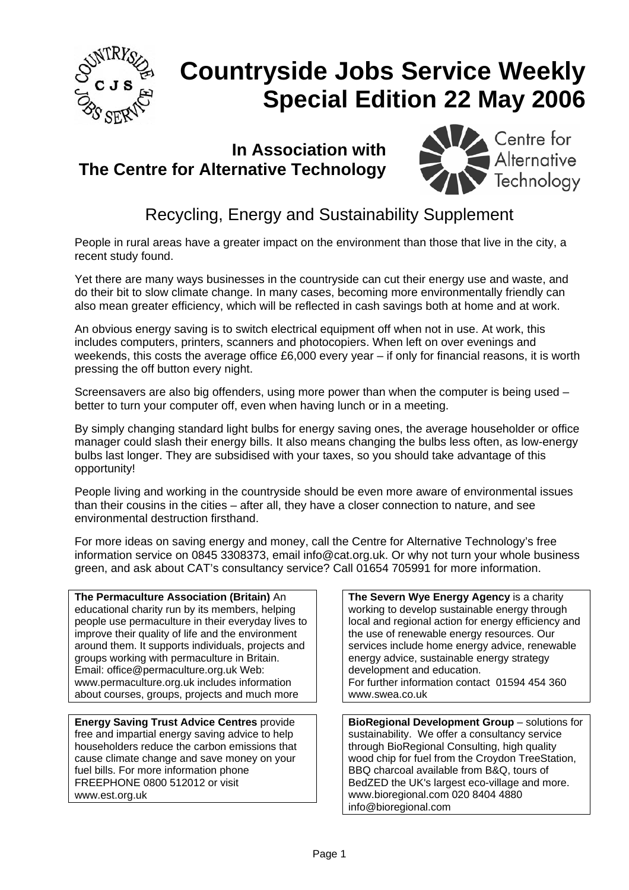

# **Countryside Jobs Service Weekly Special Edition 22 May 2006**

# **In Association with The Centre for Alternative Technology**



# Recycling, Energy and Sustainability Supplement

People in rural areas have a greater impact on the environment than those that live in the city, a recent study found.

Yet there are many ways businesses in the countryside can cut their energy use and waste, and do their bit to slow climate change. In many cases, becoming more environmentally friendly can also mean greater efficiency, which will be reflected in cash savings both at home and at work.

An obvious energy saving is to switch electrical equipment off when not in use. At work, this includes computers, printers, scanners and photocopiers. When left on over evenings and weekends, this costs the average office £6,000 every year – if only for financial reasons, it is worth pressing the off button every night.

Screensavers are also big offenders, using more power than when the computer is being used – better to turn your computer off, even when having lunch or in a meeting.

By simply changing standard light bulbs for energy saving ones, the average householder or office manager could slash their energy bills. It also means changing the bulbs less often, as low-energy bulbs last longer. They are subsidised with your taxes, so you should take advantage of this opportunity!

People living and working in the countryside should be even more aware of environmental issues than their cousins in the cities – after all, they have a closer connection to nature, and see environmental destruction firsthand.

For more ideas on saving energy and money, call the Centre for Alternative Technology's free information service on 0845 3308373, email info@cat.org.uk. Or why not turn your whole business green, and ask about CAT's consultancy service? Call 01654 705991 for more information.

**The Permaculture Association (Britain)** An educational charity run by its members, helping people use permaculture in their everyday lives to improve their quality of life and the environment around them. It supports individuals, projects and groups working with permaculture in Britain. Email: office@permaculture.org.uk Web: www.permaculture.org.uk includes information about courses, groups, projects and much more

**Energy Saving Trust Advice Centres** provide free and impartial energy saving advice to help householders reduce the carbon emissions that cause climate change and save money on your fuel bills. For more information phone FREEPHONE 0800 512012 or visit www.est.org.uk

**The Severn Wye Energy Agency** is a charity working to develop sustainable energy through local and regional action for energy efficiency and the use of renewable energy resources. Our services include home energy advice, renewable energy advice, sustainable energy strategy development and education. For further information contact 01594 454 360 www.swea.co.uk

**BioRegional Development Group** – solutions for sustainability. We offer a consultancy service through BioRegional Consulting, high quality wood chip for fuel from the Croydon TreeStation, BBQ charcoal available from B&Q, tours of BedZED the UK's largest eco-village and more. www.bioregional.com 020 8404 4880 info@bioregional.com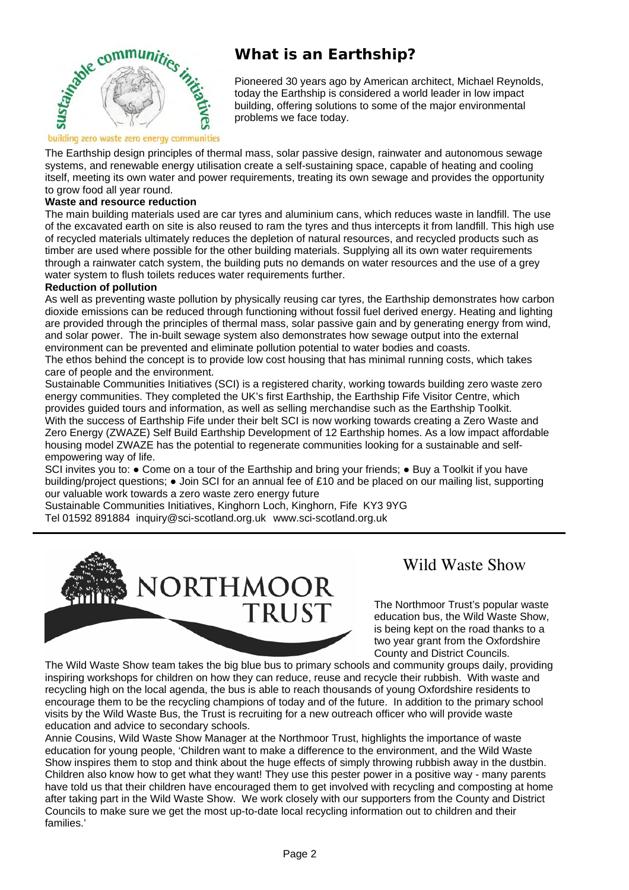

# **What is an Earthship?**

Pioneered 30 years ago by American architect, Michael Reynolds, today the Earthship is considered a world leader in low impact building, offering solutions to some of the major environmental problems we face today.

The Earthship design principles of thermal mass, solar passive design, rainwater and autonomous sewage systems, and renewable energy utilisation create a self-sustaining space, capable of heating and cooling itself, meeting its own water and power requirements, treating its own sewage and provides the opportunity to grow food all year round.

#### **Waste and resource reduction**

The main building materials used are car tyres and aluminium cans, which reduces waste in landfill. The use of the excavated earth on site is also reused to ram the tyres and thus intercepts it from landfill. This high use of recycled materials ultimately reduces the depletion of natural resources, and recycled products such as timber are used where possible for the other building materials. Supplying all its own water requirements through a rainwater catch system, the building puts no demands on water resources and the use of a grey water system to flush toilets reduces water requirements further.

#### **Reduction of pollution**

As well as preventing waste pollution by physically reusing car tyres, the Earthship demonstrates how carbon dioxide emissions can be reduced through functioning without fossil fuel derived energy. Heating and lighting are provided through the principles of thermal mass, solar passive gain and by generating energy from wind, and solar power. The in-built sewage system also demonstrates how sewage output into the external environment can be prevented and eliminate pollution potential to water bodies and coasts.

The ethos behind the concept is to provide low cost housing that has minimal running costs, which takes care of people and the environment.

Sustainable Communities Initiatives (SCI) is a registered charity, working towards building zero waste zero energy communities. They completed the UK's first Earthship, the Earthship Fife Visitor Centre, which provides guided tours and information, as well as selling merchandise such as the Earthship Toolkit. With the success of Earthship Fife under their belt SCI is now working towards creating a Zero Waste and Zero Energy (ZWAZE) Self Build Earthship Development of 12 Earthship homes. As a low impact affordable housing model ZWAZE has the potential to regenerate communities looking for a sustainable and selfempowering way of life.

SCI invites you to:  $\bullet$  Come on a tour of the Earthship and bring your friends;  $\bullet$  Buy a Toolkit if you have building/project questions; ● Join SCI for an annual fee of £10 and be placed on our mailing list, supporting our valuable work towards a zero waste zero energy future

Sustainable Communities Initiatives, Kinghorn Loch, Kinghorn, Fife KY3 9YG Tel 01592 891884 inquiry@sci-scotland.org.uk www.sci-scotland.org.uk



## Wild Waste Show

The Northmoor Trust's popular waste education bus, the Wild Waste Show, is being kept on the road thanks to a two year grant from the Oxfordshire County and District Councils.

The Wild Waste Show team takes the big blue bus to primary schools and community groups daily, providing inspiring workshops for children on how they can reduce, reuse and recycle their rubbish. With waste and recycling high on the local agenda, the bus is able to reach thousands of young Oxfordshire residents to encourage them to be the recycling champions of today and of the future. In addition to the primary school visits by the Wild Waste Bus, the Trust is recruiting for a new outreach officer who will provide waste education and advice to secondary schools.

Annie Cousins, Wild Waste Show Manager at the Northmoor Trust, highlights the importance of waste education for young people, 'Children want to make a difference to the environment, and the Wild Waste Show inspires them to stop and think about the huge effects of simply throwing rubbish away in the dustbin. Children also know how to get what they want! They use this pester power in a positive way - many parents have told us that their children have encouraged them to get involved with recycling and composting at home after taking part in the Wild Waste Show. We work closely with our supporters from the County and District Councils to make sure we get the most up-to-date local recycling information out to children and their families.'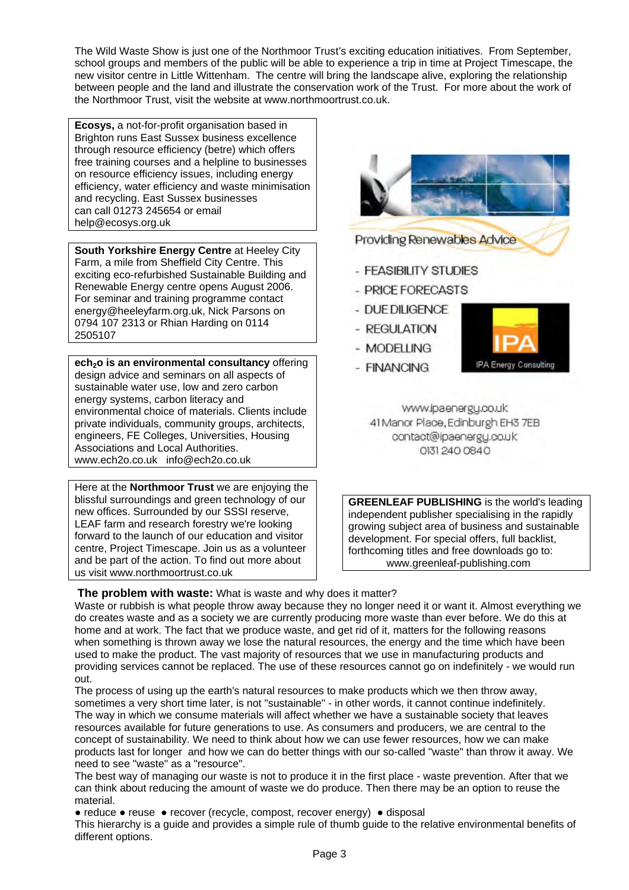The Wild Waste Show is just one of the Northmoor Trust's exciting education initiatives. From September, school groups and members of the public will be able to experience a trip in time at Project Timescape, the new visitor centre in Little Wittenham. The centre will bring the landscape alive, exploring the relationship between people and the land and illustrate the conservation work of the Trust. For more about the work of the Northmoor Trust, visit the website at www.northmoortrust.co.uk.

**Ecosys,** a not-for-profit organisation based in Brighton runs East Sussex business excellence through resource efficiency (betre) which offers free training courses and a helpline to businesses on resource efficiency issues, including energy efficiency, water efficiency and waste minimisation and recycling. East Sussex businesses can call 01273 245654 or email help@ecosys.org.uk

**South Yorkshire Energy Centre** at Heeley City Farm, a mile from Sheffield City Centre. This exciting eco-refurbished Sustainable Building and Renewable Energy centre opens August 2006. For seminar and training programme contact energy@heeleyfarm.org.uk, Nick Parsons on 0794 107 2313 or Rhian Harding on 0114 2505107

**ech<sub>2</sub>O is an environmental consultancy** offering design advice and seminars on all aspects of sustainable water use, low and zero carbon energy systems, carbon literacy and environmental choice of materials. Clients include private individuals, community groups, architects, engineers, FE Colleges, Universities, Housing Associations and Local Authorities. www.ech2o.co.uk info@ech2o.co.uk

Here at the **Northmoor Trust** we are enjoying the blissful surroundings and green technology of our new offices. Surrounded by our SSSI reserve, LEAF farm and research forestry we're looking forward to the launch of our education and visitor centre, Project Timescape. Join us as a volunteer and be part of the action. To find out more about us visit www.northmoortrust.co.uk



www.ipaenergu.co.uk 41 Manor Place, Edinburgh EH3 7EB contact@ipaenergu.co.uk 0131 240 0840

**GREENLEAF PUBLISHING** is the world's leading independent publisher specialising in the rapidly growing subject area of business and sustainable development. For special offers, full backlist, forthcoming titles and free downloads go to: www.greenleaf-publishing.com

#### **The problem with waste:** What is waste and why does it matter?

Waste or rubbish is what people throw away because they no longer need it or want it. Almost everything we do creates waste and as a society we are currently producing more waste than ever before. We do this at home and at work. The fact that we produce waste, and get rid of it, matters for the following reasons when something is thrown away we lose the natural resources, the energy and the time which have been used to make the product. The vast majority of resources that we use in manufacturing products and providing services cannot be replaced. The use of these resources cannot go on indefinitely - we would run out.

The process of using up the earth's natural resources to make products which we then throw away, sometimes a very short time later, is not "sustainable" - in other words, it cannot continue indefinitely. The way in which we consume materials will affect whether we have a sustainable society that leaves resources available for future generations to use. As consumers and producers, we are central to the concept of sustainability. We need to think about how we can use fewer resources, how we can make products last for longer and how we can do better things with our so-called "waste" than throw it away. We need to see "waste" as a "resource".

The best way of managing our waste is not to produce it in the first place - waste prevention. After that we can think about reducing the amount of waste we do produce. Then there may be an option to reuse the material.

● reduce ● reuse ● recover (recycle, compost, recover energy) ● disposal This hierarchy is a guide and provides a simple rule of thumb guide to the relative environmental benefits of different options.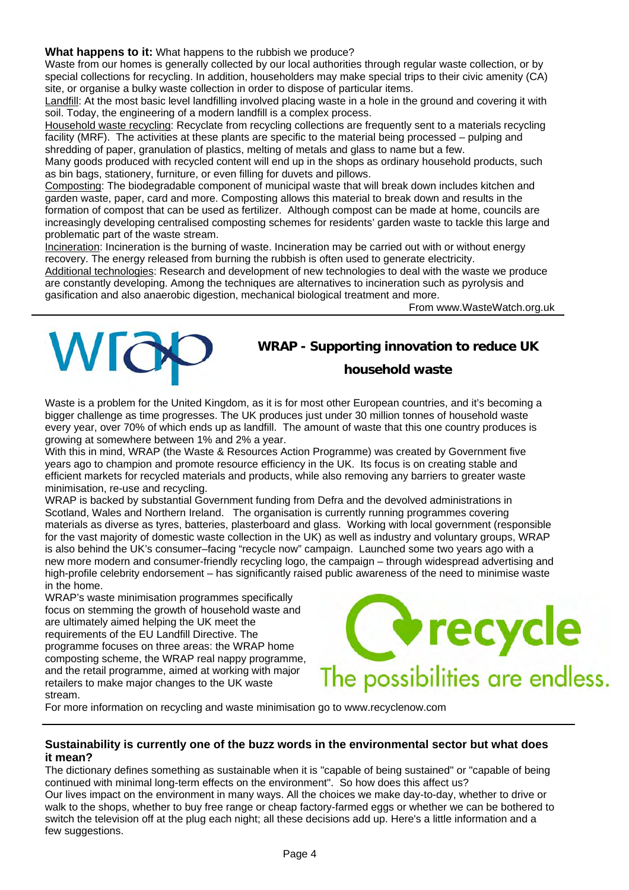#### **What happens to it:** What happens to the rubbish we produce?

Waste from our homes is generally collected by our local authorities through regular waste collection, or by special collections for recycling. In addition, householders may make special trips to their civic amenity (CA) site, or organise a bulky waste collection in order to dispose of particular items.

Landfill: At the most basic level landfilling involved placing waste in a hole in the ground and covering it with soil. Today, the engineering of a modern landfill is a complex process.

Household waste recycling: Recyclate from recycling collections are frequently sent to a materials recycling facility (MRF). The activities at these plants are specific to the material being processed – pulping and shredding of paper, granulation of plastics, melting of metals and glass to name but a few.

Many goods produced with recycled content will end up in the shops as ordinary household products, such as bin bags, stationery, furniture, or even filling for duvets and pillows.

Composting: The biodegradable component of municipal waste that will break down includes kitchen and garden waste, paper, card and more. Composting allows this material to break down and results in the formation of compost that can be used as fertilizer. Although compost can be made at home, councils are increasingly developing centralised composting schemes for residents' garden waste to tackle this large and problematic part of the waste stream.

Incineration: Incineration is the burning of waste. Incineration may be carried out with or without energy recovery. The energy released from burning the rubbish is often used to generate electricity.

Additional technologies: Research and development of new technologies to deal with the waste we produce are constantly developing. Among the techniques are alternatives to incineration such as pyrolysis and gasification and also anaerobic digestion, mechanical biological treatment and more.

From www.WasteWatch.org.uk



# **WRAP - Supporting innovation to reduce UK household waste**

Waste is a problem for the United Kingdom, as it is for most other European countries, and it's becoming a bigger challenge as time progresses. The UK produces just under 30 million tonnes of household waste every year, over 70% of which ends up as landfill. The amount of waste that this one country produces is growing at somewhere between 1% and 2% a year.

With this in mind, WRAP (the Waste & Resources Action Programme) was created by Government five years ago to champion and promote resource efficiency in the UK. Its focus is on creating stable and efficient markets for recycled materials and products, while also removing any barriers to greater waste minimisation, re-use and recycling.

WRAP is backed by substantial Government funding from Defra and the devolved administrations in Scotland, Wales and Northern Ireland. The organisation is currently running programmes covering materials as diverse as tyres, batteries, plasterboard and glass. Working with local government (responsible for the vast majority of domestic waste collection in the UK) as well as industry and voluntary groups, WRAP is also behind the UK's consumer–facing "recycle now" campaign. Launched some two years ago with a new more modern and consumer-friendly recycling logo, the campaign – through widespread advertising and high-profile celebrity endorsement – has significantly raised public awareness of the need to minimise waste in the home.

WRAP's waste minimisation programmes specifically focus on stemming the growth of household waste and are ultimately aimed helping the UK meet the requirements of the EU Landfill Directive. The programme focuses on three areas: the WRAP home composting scheme, the WRAP real nappy programme, and the retail programme, aimed at working with major retailers to make major changes to the UK waste stream.



For more information on recycling and waste minimisation go to www.recyclenow.com

#### **Sustainability is currently one of the buzz words in the environmental sector but what does it mean?**

The dictionary defines something as sustainable when it is "capable of being sustained" or "capable of being continued with minimal long-term effects on the environment". So how does this affect us? Our lives impact on the environment in many ways. All the choices we make day-to-day, whether to drive or

walk to the shops, whether to buy free range or cheap factory-farmed eggs or whether we can be bothered to switch the television off at the plug each night; all these decisions add up. Here's a little information and a few suggestions.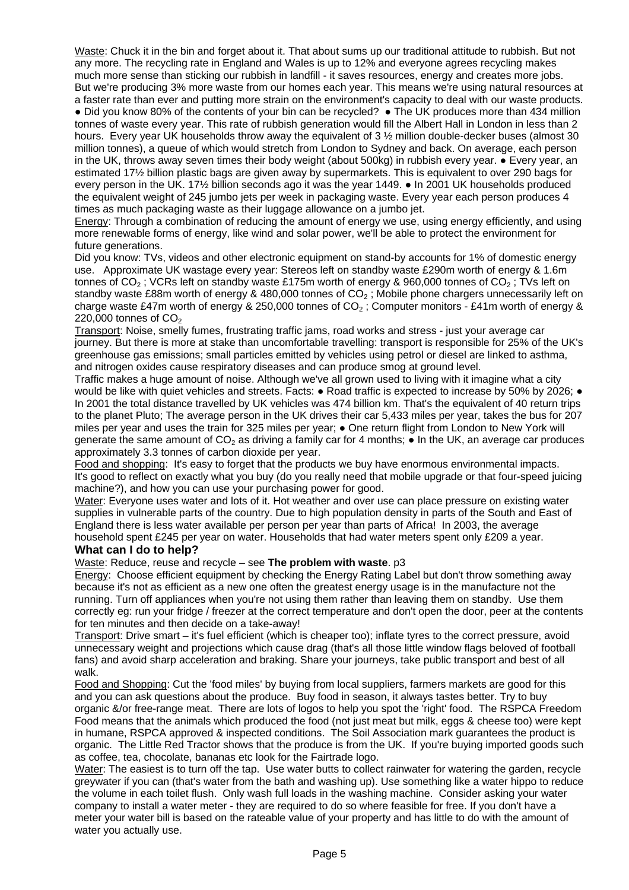Waste: Chuck it in the bin and forget about it. That about sums up our traditional attitude to rubbish. But not any more. The recycling rate in England and Wales is up to 12% and everyone agrees recycling makes much more sense than sticking our rubbish in landfill - it saves resources, energy and creates more jobs. But we're producing 3% more waste from our homes each year. This means we're using natural resources at a faster rate than ever and putting more strain on the environment's capacity to deal with our waste products.

● Did you know 80% of the contents of your bin can be recycled? ● The UK produces more than 434 million tonnes of waste every year. This rate of rubbish generation would fill the Albert Hall in London in less than 2 hours. Every year UK households throw away the equivalent of 3  $\frac{1}{2}$  million double-decker buses (almost 30 million tonnes), a queue of which would stretch from London to Sydney and back. On average, each person in the UK, throws away seven times their body weight (about 500kg) in rubbish every year. ● Every year, an estimated 17½ billion plastic bags are given away by supermarkets. This is equivalent to over 290 bags for every person in the UK. 17½ billion seconds ago it was the year 1449. ● In 2001 UK households produced the equivalent weight of 245 jumbo jets per week in packaging waste. Every year each person produces 4 times as much packaging waste as their luggage allowance on a jumbo jet.

Energy: Through a combination of reducing the amount of energy we use, using energy efficiently, and using more renewable forms of energy, like wind and solar power, we'll be able to protect the environment for future generations.

Did you know: TVs, videos and other electronic equipment on stand-by accounts for 1% of domestic energy use. Approximate UK wastage every year: Stereos left on standby waste £290m worth of energy & 1.6m tonnes of  $CO_2$ ; VCRs left on standby waste £175m worth of energy & 960,000 tonnes of  $CO_2$ ; TVs left on standby waste £88m worth of energy & 480,000 tonnes of  $CO<sub>2</sub>$ ; Mobile phone chargers unnecessarily left on charge waste £47m worth of energy & 250,000 tonnes of  $CO<sub>2</sub>$ ; Computer monitors - £41m worth of energy & 220,000 tonnes of  $CO<sub>2</sub>$ 

Transport: Noise, smelly fumes, frustrating traffic jams, road works and stress - just your average car journey. But there is more at stake than uncomfortable travelling: transport is responsible for 25% of the UK's greenhouse gas emissions; small particles emitted by vehicles using petrol or diesel are linked to asthma, and nitrogen oxides cause respiratory diseases and can produce smog at ground level.

Traffic makes a huge amount of noise. Although we've all grown used to living with it imagine what a city would be like with quiet vehicles and streets. Facts: • Road traffic is expected to increase by 50% by 2026: • In 2001 the total distance travelled by UK vehicles was 474 billion km. That's the equivalent of 40 return trips to the planet Pluto; The average person in the UK drives their car 5,433 miles per year, takes the bus for 207 miles per year and uses the train for 325 miles per year; ● One return flight from London to New York will generate the same amount of  $CO<sub>2</sub>$  as driving a family car for 4 months;  $\bullet$  In the UK, an average car produces approximately 3.3 tonnes of carbon dioxide per year.

Food and shopping: It's easy to forget that the products we buy have enormous environmental impacts. It's good to reflect on exactly what you buy (do you really need that mobile upgrade or that four-speed juicing machine?), and how you can use your purchasing power for good.

Water: Everyone uses water and lots of it. Hot weather and over use can place pressure on existing water supplies in vulnerable parts of the country. Due to high population density in parts of the South and East of England there is less water available per person per year than parts of Africa! In 2003, the average household spent £245 per year on water. Households that had water meters spent only £209 a year.

#### **What can I do to help?**

#### Waste: Reduce, reuse and recycle – see **The problem with waste**. p3

Energy: Choose efficient equipment by checking the Energy Rating Label but don't throw something away because it's not as efficient as a new one often the greatest energy usage is in the manufacture not the running. Turn off appliances when you're not using them rather than leaving them on standby. Use them correctly eg: run your fridge / freezer at the correct temperature and don't open the door, peer at the contents for ten minutes and then decide on a take-away!

Transport: Drive smart – it's fuel efficient (which is cheaper too); inflate tyres to the correct pressure, avoid unnecessary weight and projections which cause drag (that's all those little window flags beloved of football fans) and avoid sharp acceleration and braking. Share your journeys, take public transport and best of all walk.

Food and Shopping: Cut the 'food miles' by buying from local suppliers, farmers markets are good for this and you can ask questions about the produce. Buy food in season, it always tastes better. Try to buy organic &/or free-range meat. There are lots of logos to help you spot the 'right' food. The RSPCA Freedom Food means that the animals which produced the food (not just meat but milk, eggs & cheese too) were kept in humane, RSPCA approved & inspected conditions. The Soil Association mark guarantees the product is organic. The Little Red Tractor shows that the produce is from the UK. If you're buying imported goods such as coffee, tea, chocolate, bananas etc look for the Fairtrade logo.

Water: The easiest is to turn off the tap. Use water butts to collect rainwater for watering the garden, recycle greywater if you can (that's water from the bath and washing up). Use something like a water hippo to reduce the volume in each toilet flush. Only wash full loads in the washing machine. Consider asking your water company to install a water meter - they are required to do so where feasible for free. If you don't have a meter your water bill is based on the rateable value of your property and has little to do with the amount of water you actually use.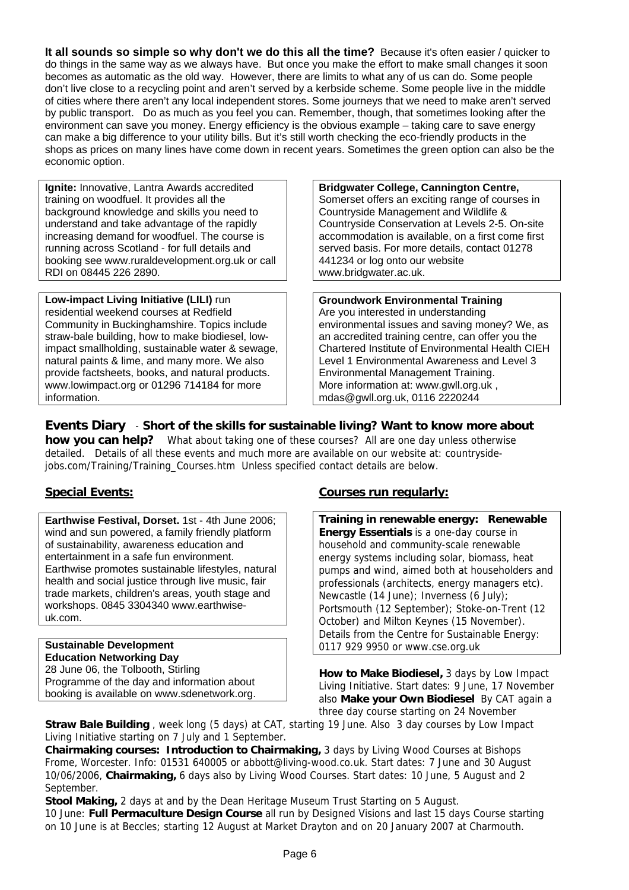**It all sounds so simple so why don't we do this all the time?** Because it's often easier / quicker to do things in the same way as we always have. But once you make the effort to make small changes it soon becomes as automatic as the old way. However, there are limits to what any of us can do. Some people don't live close to a recycling point and aren't served by a kerbside scheme. Some people live in the middle of cities where there aren't any local independent stores. Some journeys that we need to make aren't served by public transport. Do as much as you feel you can. Remember, though, that sometimes looking after the environment can save you money. Energy efficiency is the obvious example – taking care to save energy can make a big difference to your utility bills. But it's still worth checking the eco-friendly products in the shops as prices on many lines have come down in recent years. Sometimes the green option can also be the economic option.

**Ignite:** Innovative, Lantra Awards accredited training on woodfuel. It provides all the background knowledge and skills you need to understand and take advantage of the rapidly increasing demand for woodfuel. The course is running across Scotland - for full details and booking see www.ruraldevelopment.org.uk or call RDI on 08445 226 2890.

### **Low-impact Living Initiative (LILI)** run

residential weekend courses at Redfield Community in Buckinghamshire. Topics include straw-bale building, how to make biodiesel, lowimpact smallholding, sustainable water & sewage, natural paints & lime, and many more. We also provide factsheets, books, and natural products. www.lowimpact.org or 01296 714184 for more information.

**Bridgwater College, Cannington Centre,** Somerset offers an exciting range of courses in Countryside Management and Wildlife & Countryside Conservation at Levels 2-5. On-site accommodation is available, on a first come first served basis. For more details, contact 01278 441234 or log onto our website www.bridgwater.ac.uk.

**Groundwork Environmental Training**  Are you interested in understanding environmental issues and saving money? We, as an accredited training centre, can offer you the Chartered Institute of Environmental Health CIEH Level 1 Environmental Awareness and Level 3 Environmental Management Training. More information at: www.gwll.org.uk , mdas@gwll.org.uk, 0116 2220244

### **Events Diary** - **Short of the skills for sustainable living? Want to know more about**

**how you can help?** What about taking one of these courses? All are one day unless otherwise detailed. Details of all these events and much more are available on our website at: countrysidejobs.com/Training/Training Courses.htm Unless specified contact details are below.

### **Special Events:**

**Earthwise Festival, Dorset.** 1st - 4th June 2006; wind and sun powered, a family friendly platform of sustainability, awareness education and entertainment in a safe fun environment. Earthwise promotes sustainable lifestyles, natural health and social justice through live music, fair trade markets, children's areas, youth stage and workshops. 0845 3304340 www.earthwiseuk.com.

**Sustainable Development Education Networking Day** 28 June 06, the Tolbooth, Stirling Programme of the day and information about booking is available on www.sdenetwork.org.

### **Courses run regularly:**

**Training in renewable energy: Renewable Energy Essentials** is a one-day course in household and community-scale renewable energy systems including solar, biomass, heat pumps and wind, aimed both at householders and professionals (architects, energy managers etc). Newcastle (14 June); Inverness (6 July); Portsmouth (12 September); Stoke-on-Trent (12 October) and Milton Keynes (15 November). Details from the Centre for Sustainable Energy: 0117 929 9950 or www.cse.org.uk

**How to Make Biodiesel,** 3 days by Low Impact Living Initiative. Start dates: 9 June, 17 November also **Make your Own Biodiesel** By CAT again a three day course starting on 24 November

**Straw Bale Building** , week long (5 days) at CAT, starting 19 June. Also 3 day courses by Low Impact Living Initiative starting on 7 July and 1 September.

**Chairmaking courses: Introduction to Chairmaking,** 3 days by Living Wood Courses at Bishops Frome, Worcester. Info: 01531 640005 or abbott@living-wood.co.uk. Start dates: 7 June and 30 August 10/06/2006, **Chairmaking,** 6 days also by Living Wood Courses. Start dates: 10 June, 5 August and 2 September.

**Stool Making,** 2 days at and by the Dean Heritage Museum Trust Starting on 5 August. 10 June: **Full Permaculture Design Course** all run by Designed Visions and last 15 days Course starting on 10 June is at Beccles; starting 12 August at Market Drayton and on 20 January 2007 at Charmouth.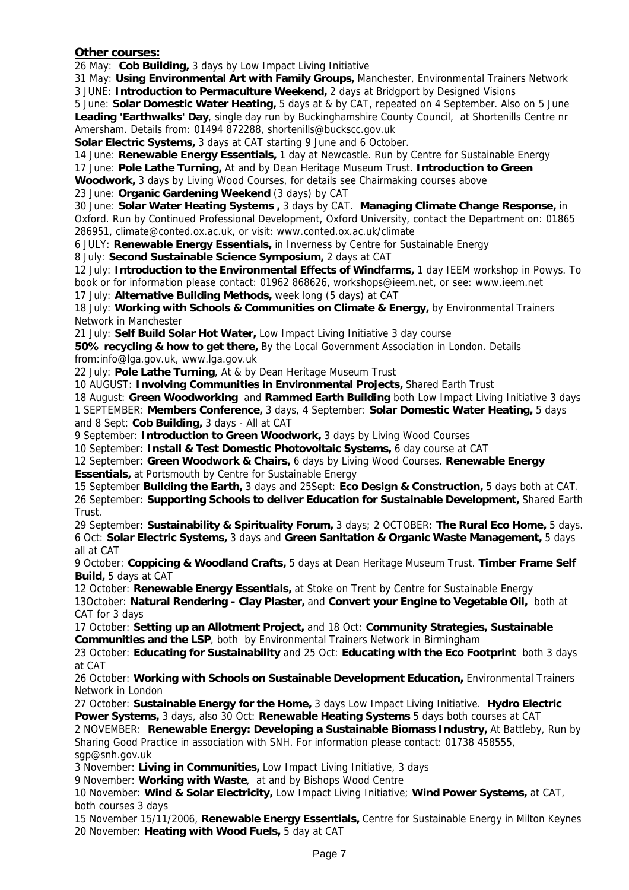#### **Other courses:**

26 May: **Cob Building,** 3 days by Low Impact Living Initiative

31 May: **Using Environmental Art with Family Groups,** Manchester, Environmental Trainers Network 3 JUNE: **Introduction to Permaculture Weekend,** 2 days at Bridgport by Designed Visions

5 June: **Solar Domestic Water Heating,** 5 days at & by CAT, repeated on 4 September. Also on 5 June **Leading 'Earthwalks' Day**, single day run by Buckinghamshire County Council, at Shortenills Centre nr Amersham. Details from: 01494 872288, shortenills@buckscc.gov.uk

**Solar Electric Systems,** 3 days at CAT starting 9 June and 6 October.

14 June: **Renewable Energy Essentials,** 1 day at Newcastle. Run by Centre for Sustainable Energy 17 June: **Pole Lathe Turning,** At and by Dean Heritage Museum Trust. **Introduction to Green Woodwork,** 3 days by Living Wood Courses, for details see Chairmaking courses above

23 June: **Organic Gardening Weekend** (3 days) by CAT

30 June: **Solar Water Heating Systems ,** 3 days by CAT. **Managing Climate Change Response,** in Oxford. Run by Continued Professional Development, Oxford University, contact the Department on: 01865 286951, climate@conted.ox.ac.uk, or visit: www.conted.ox.ac.uk/climate

6 JULY: **Renewable Energy Essentials,** in Inverness by Centre for Sustainable Energy

8 July: **Second Sustainable Science Symposium,** 2 days at CAT

12 July: **Introduction to the Environmental Effects of Windfarms,** 1 day IEEM workshop in Powys. To book or for information please contact: 01962 868626, workshops@ieem.net, or see: www.ieem.net

17 July: **Alternative Building Methods,** week long (5 days) at CAT

18 July: **Working with Schools & Communities on Climate & Energy,** by Environmental Trainers Network in Manchester

21 July: **Self Build Solar Hot Water,** Low Impact Living Initiative 3 day course

**50% recycling & how to get there,** By the Local Government Association in London. Details from:info@lga.gov.uk, www.lga.gov.uk

22 July: **Pole Lathe Turning**, At & by Dean Heritage Museum Trust

10 AUGUST: **Involving Communities in Environmental Projects,** Shared Earth Trust

18 August: **Green Woodworking** and **Rammed Earth Building** both Low Impact Living Initiative 3 days 1 SEPTEMBER: **Members Conference,** 3 days, 4 September: **Solar Domestic Water Heating,** 5 days and 8 Sept: **Cob Building,** 3 days - All at CAT

9 September: **Introduction to Green Woodwork,** 3 days by Living Wood Courses

10 September: **Install & Test Domestic Photovoltaic Systems,** 6 day course at CAT

12 September: **Green Woodwork & Chairs,** 6 days by Living Wood Courses. **Renewable Energy Essentials,** at Portsmouth by Centre for Sustainable Energy

15 September **Building the Earth,** 3 days and 25Sept: **Eco Design & Construction,** 5 days both at CAT. 26 September: **Supporting Schools to deliver Education for Sustainable Development,** Shared Earth Trust.

29 September: **Sustainability & Spirituality Forum,** 3 days; 2 OCTOBER: **The Rural Eco Home,** 5 days. 6 Oct: **Solar Electric Systems,** 3 days and **Green Sanitation & Organic Waste Management,** 5 days all at CAT

9 October: **Coppicing & Woodland Crafts,** 5 days at Dean Heritage Museum Trust. **Timber Frame Self Build,** 5 days at CAT

12 October: **Renewable Energy Essentials,** at Stoke on Trent by Centre for Sustainable Energy 13October: **Natural Rendering - Clay Plaster,** and **Convert your Engine to Vegetable Oil,** both at CAT for 3 days

17 October: **Setting up an Allotment Project,** and 18 Oct: **Community Strategies, Sustainable Communities and the LSP**, both by Environmental Trainers Network in Birmingham

23 October: **Educating for Sustainability** and 25 Oct: **Educating with the Eco Footprint** both 3 days at CAT

26 October: **Working with Schools on Sustainable Development Education,** Environmental Trainers Network in London

27 October: **Sustainable Energy for the Home,** 3 days Low Impact Living Initiative. **Hydro Electric Power Systems,** 3 days, also 30 Oct: **Renewable Heating Systems** 5 days both courses at CAT 2 NOVEMBER: **Renewable Energy: Developing a Sustainable Biomass Industry,** At Battleby, Run by Sharing Good Practice in association with SNH. For information please contact: 01738 458555, sgp@snh.gov.uk

3 November: **Living in Communities,** Low Impact Living Initiative, 3 days

9 November: **Working with Waste**, at and by Bishops Wood Centre

10 November: **Wind & Solar Electricity,** Low Impact Living Initiative; **Wind Power Systems,** at CAT, both courses 3 days

15 November 15/11/2006, **Renewable Energy Essentials,** Centre for Sustainable Energy in Milton Keynes 20 November: **Heating with Wood Fuels,** 5 day at CAT